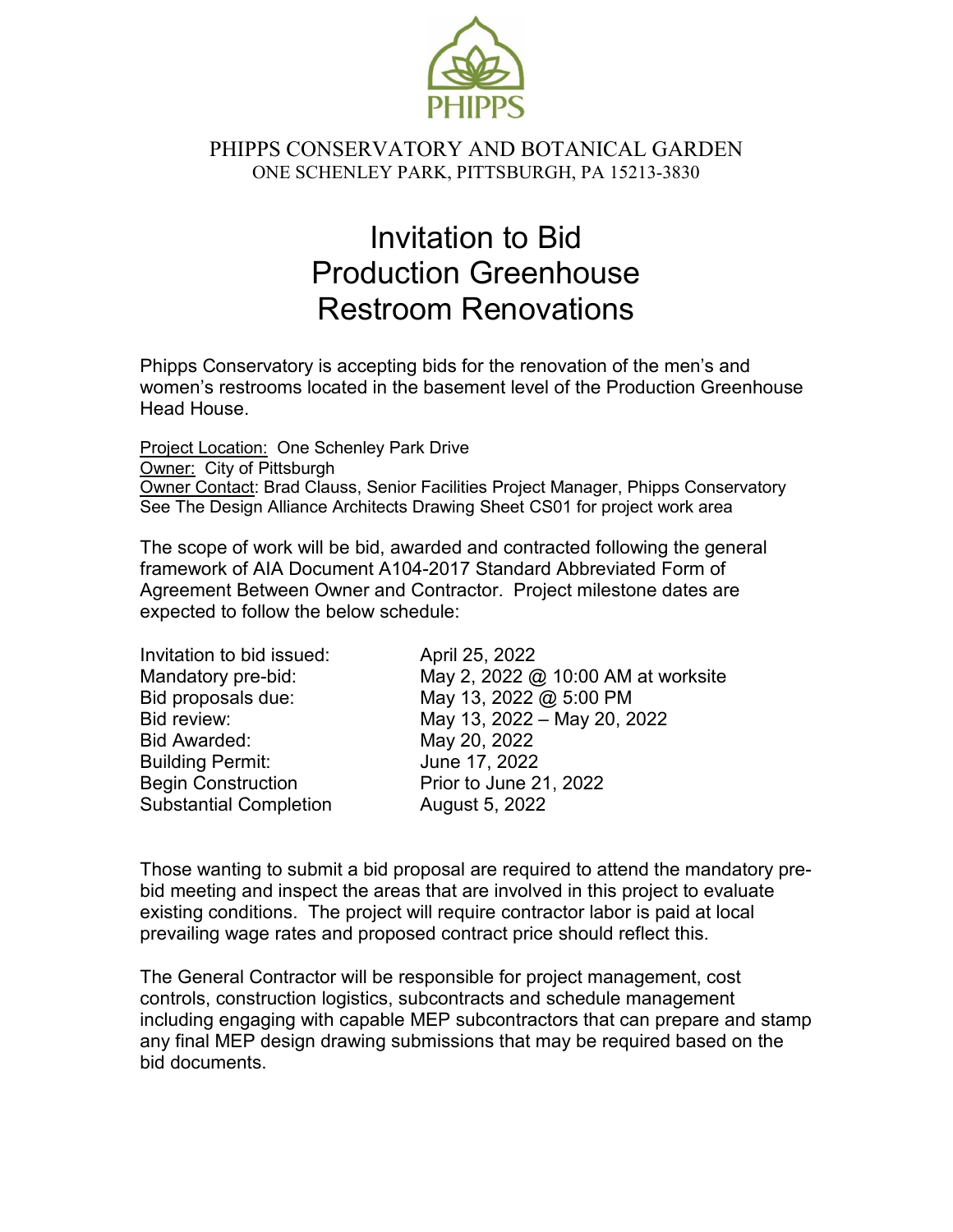

## PHIPPS CONSERVATORY AND BOTANICAL GARDEN ONE SCHENLEY PARK, PITTSBURGH, PA 15213-3830

# Invitation to Bid Production Greenhouse Restroom Renovations

Phipps Conservatory is accepting bids for the renovation of the men's and women's restrooms located in the basement level of the Production Greenhouse Head House.

Project Location: One Schenley Park Drive Owner: City of Pittsburgh Owner Contact: Brad Clauss, Senior Facilities Project Manager, Phipps Conservatory See The Design Alliance Architects Drawing Sheet CS01 for project work area

The scope of work will be bid, awarded and contracted following the general framework of AIA Document A104-2017 Standard Abbreviated Form of Agreement Between Owner and Contractor. Project milestone dates are expected to follow the below schedule:

| Invitation to bid issued:     | April 25, 2022                     |
|-------------------------------|------------------------------------|
| Mandatory pre-bid:            | May 2, 2022 @ 10:00 AM at worksite |
| Bid proposals due:            | May 13, 2022 @ 5:00 PM             |
| Bid review:                   | May 13, 2022 - May 20, 2022        |
| <b>Bid Awarded:</b>           | May 20, 2022                       |
| <b>Building Permit:</b>       | June 17, 2022                      |
| <b>Begin Construction</b>     | Prior to June 21, 2022             |
| <b>Substantial Completion</b> | August 5, 2022                     |

Those wanting to submit a bid proposal are required to attend the mandatory prebid meeting and inspect the areas that are involved in this project to evaluate existing conditions. The project will require contractor labor is paid at local prevailing wage rates and proposed contract price should reflect this.

The General Contractor will be responsible for project management, cost controls, construction logistics, subcontracts and schedule management including engaging with capable MEP subcontractors that can prepare and stamp any final MEP design drawing submissions that may be required based on the bid documents.